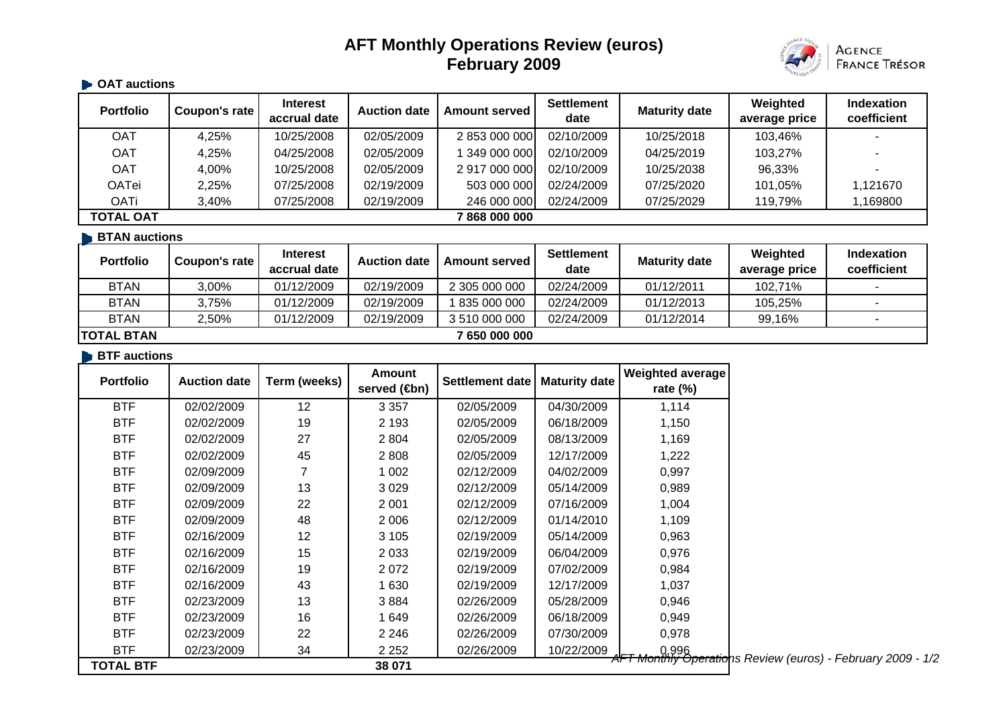# **AFT Monthly Operations Review (euros) February 2009**



#### $\blacksquare$  **OAT auctions**

| <b>Portfolio</b>                | Coupon's rate | Interest<br>accrual date | <b>Auction date</b> | <b>Amount served</b> | <b>Settlement</b><br>date | <b>Maturity date</b> | Weighted<br>average price | <b>Indexation</b><br>coefficient |
|---------------------------------|---------------|--------------------------|---------------------|----------------------|---------------------------|----------------------|---------------------------|----------------------------------|
| <b>OAT</b>                      | 4,25%         | 10/25/2008               | 02/05/2009          | 2 853 000 000        | 02/10/2009                | 10/25/2018           | 103,46%                   |                                  |
| <b>OAT</b>                      | 4,25%         | 04/25/2008               | 02/05/2009          | 349 000 000          | 02/10/2009                | 04/25/2019           | 103,27%                   |                                  |
| <b>OAT</b>                      | 4,00%         | 10/25/2008               | 02/05/2009          | 2 917 000 000        | 02/10/2009                | 10/25/2038           | 96,33%                    |                                  |
| <b>OATei</b>                    | 2,25%         | 07/25/2008               | 02/19/2009          | 503 000 000          | 02/24/2009                | 07/25/2020           | 101,05%                   | 1,121670                         |
| OATi                            | 3,40%         | 07/25/2008               | 02/19/2009          | 246 000 000          | 02/24/2009                | 07/25/2029           | 119,79%                   | 1,169800                         |
| <b>TOTAL OAT</b><br>868 000 000 |               |                          |                     |                      |                           |                      |                           |                                  |
| <b>BTAN</b> auctions            |               |                          |                     |                      |                           |                      |                           |                                  |
|                                 |               | . .                      |                     |                      | $\sim$ $\sim$             |                      | .                         |                                  |

| <b>Portfolio</b>   | Coupon's rate | <b>Interest</b><br>accrual date | <b>Auction date</b> | <b>Amount served</b> | <b>Settlement</b><br>date | <b>Maturity date</b> | Weighted<br>average price | Indexation<br>coefficient |
|--------------------|---------------|---------------------------------|---------------------|----------------------|---------------------------|----------------------|---------------------------|---------------------------|
| <b>BTAN</b>        | 3,00%         | 01/12/2009                      | 02/19/2009          | 2 305 000 000        | 02/24/2009                | 01/12/2011           | 102,71%                   |                           |
| <b>BTAN</b>        | 3.75%         | 01/12/2009                      | 02/19/2009          | 835 000 000          | 02/24/2009                | 01/12/2013           | 105,25%                   |                           |
| <b>BTAN</b>        | 2,50%         | 01/12/2009                      | 02/19/2009          | 3 510 000 000        | 02/24/2009                | 01/12/2014           | 99,16%                    |                           |
| <b>ITOTAL BTAN</b> |               |                                 |                     | 7 650 000 000        |                           |                      |                           |                           |

#### **BTF** auctions

| Portfolio        | <b>Auction date</b> | Term (weeks) | Amount<br>served ( <b>⊕</b> n) | Settlement date | <b>Maturity date</b> | Weighted average<br>rate $(\%)$                                      |
|------------------|---------------------|--------------|--------------------------------|-----------------|----------------------|----------------------------------------------------------------------|
| <b>BTF</b>       | 02/02/2009          | 12           | 3 3 5 7                        | 02/05/2009      | 04/30/2009           | 1,114                                                                |
| <b>BTF</b>       | 02/02/2009          | 19           | 2 1 9 3                        | 02/05/2009      | 06/18/2009           | 1,150                                                                |
| <b>BTF</b>       | 02/02/2009          | 27           | 2 8 0 4                        | 02/05/2009      | 08/13/2009           | 1,169                                                                |
| <b>BTF</b>       | 02/02/2009          | 45           | 2 8 0 8                        | 02/05/2009      | 12/17/2009           | 1,222                                                                |
| <b>BTF</b>       | 02/09/2009          |              | 1 0 0 2                        | 02/12/2009      | 04/02/2009           | 0,997                                                                |
| <b>BTF</b>       | 02/09/2009          | 13           | 3 0 2 9                        | 02/12/2009      | 05/14/2009           | 0,989                                                                |
| <b>BTF</b>       | 02/09/2009          | 22           | 2 0 0 1                        | 02/12/2009      | 07/16/2009           | 1,004                                                                |
| <b>BTF</b>       | 02/09/2009          | 48           | 2 0 0 6                        | 02/12/2009      | 01/14/2010           | 1,109                                                                |
| <b>BTF</b>       | 02/16/2009          | 12           | 3 1 0 5                        | 02/19/2009      | 05/14/2009           | 0,963                                                                |
| <b>BTF</b>       | 02/16/2009          | 15           | 2 0 3 3                        | 02/19/2009      | 06/04/2009           | 0,976                                                                |
| <b>BTF</b>       | 02/16/2009          | 19           | 2072                           | 02/19/2009      | 07/02/2009           | 0,984                                                                |
| <b>BTF</b>       | 02/16/2009          | 43           | 1 630                          | 02/19/2009      | 12/17/2009           | 1,037                                                                |
| <b>BTF</b>       | 02/23/2009          | 13           | 3884                           | 02/26/2009      | 05/28/2009           | 0,946                                                                |
| <b>BTF</b>       | 02/23/2009          | 16           | 1 649                          | 02/26/2009      | 06/18/2009           | 0,949                                                                |
| <b>BTF</b>       | 02/23/2009          | 22           | 2 2 4 6                        | 02/26/2009      | 07/30/2009           | 0,978                                                                |
| <b>BTF</b>       | 02/23/2009          | 34           | 2 2 5 2                        | 02/26/2009      | 10/22/2009           | 0,996<br>AFT Monthly Operations Review (euros) - February 2009 - 1/2 |
| <b>TOTAL BTF</b> |                     |              | 38 071                         |                 |                      |                                                                      |